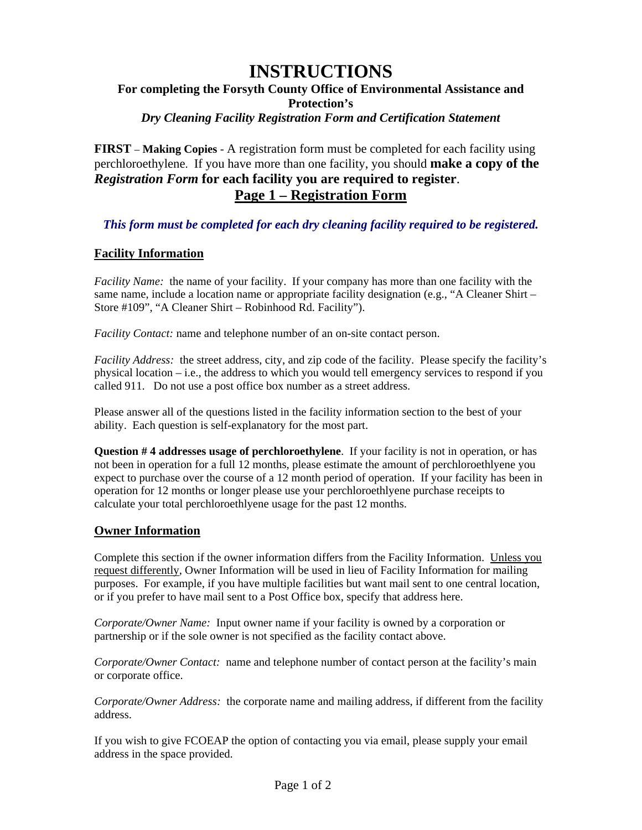# **INSTRUCTIONS For completing the Forsyth County Office of Environmental Assistance and Protection's**  *Dry Cleaning Facility Registration Form and Certification Statement*

**FIRST** – **Making Copies** - A registration form must be completed for each facility using perchloroethylene. If you have more than one facility, you should **make a copy of the**  *Registration Form* **for each facility you are required to register**. **Page 1 – Registration Form**

*This form must be completed for each dry cleaning facility required to be registered.* 

### **Facility Information**

*Facility Name:* the name of your facility. If your company has more than one facility with the same name, include a location name or appropriate facility designation (e.g., "A Cleaner Shirt – Store #109", "A Cleaner Shirt – Robinhood Rd. Facility").

*Facility Contact:* name and telephone number of an on-site contact person.

*Facility Address:* the street address, city, and zip code of the facility. Please specify the facility's physical location – i.e., the address to which you would tell emergency services to respond if you called 911. Do not use a post office box number as a street address.

Please answer all of the questions listed in the facility information section to the best of your ability. Each question is self-explanatory for the most part.

**Question # 4 addresses usage of perchloroethylene**. If your facility is not in operation, or has not been in operation for a full 12 months, please estimate the amount of perchloroethlyene you expect to purchase over the course of a 12 month period of operation. If your facility has been in operation for 12 months or longer please use your perchloroethlyene purchase receipts to calculate your total perchloroethlyene usage for the past 12 months.

#### **Owner Information**

Complete this section if the owner information differs from the Facility Information. Unless you request differently, Owner Information will be used in lieu of Facility Information for mailing purposes. For example, if you have multiple facilities but want mail sent to one central location, or if you prefer to have mail sent to a Post Office box, specify that address here.

*Corporate/Owner Name:* Input owner name if your facility is owned by a corporation or partnership or if the sole owner is not specified as the facility contact above.

*Corporate/Owner Contact:* name and telephone number of contact person at the facility's main or corporate office.

*Corporate/Owner Address:* the corporate name and mailing address, if different from the facility address.

If you wish to give FCOEAP the option of contacting you via email, please supply your email address in the space provided.